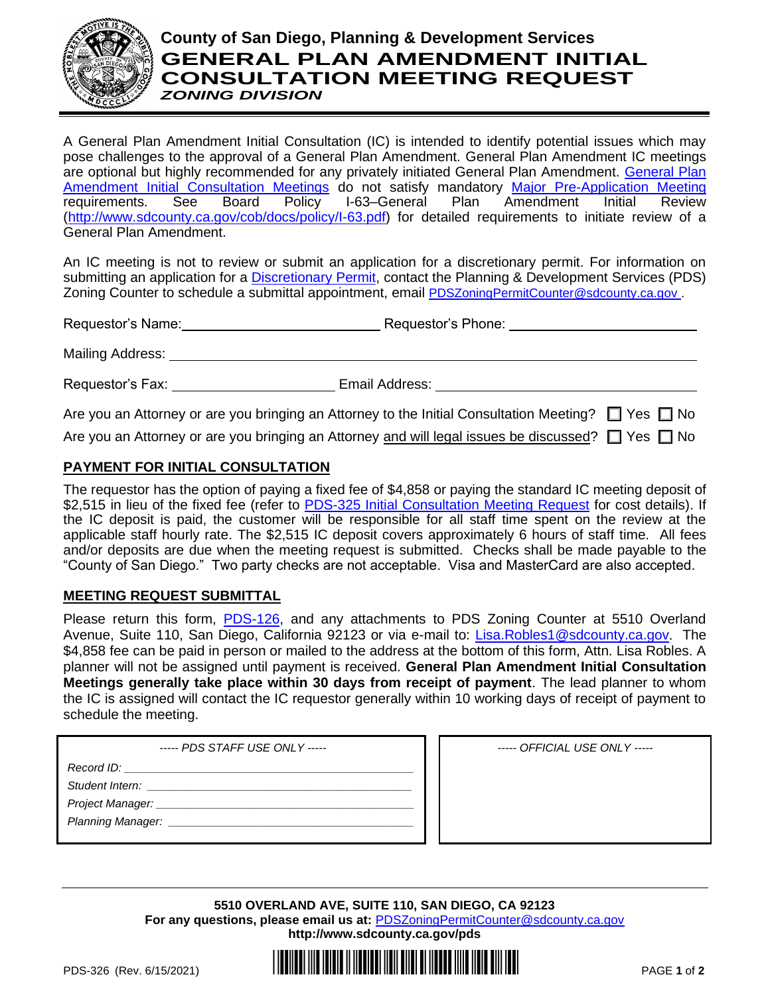

# **County of San Diego, Planning & Development Services GENERAL PLAN AMENDMENT INITIAL CONSULTATION MEETING REQUEST** *ZONING DIVISION*

A General Plan Amendment Initial Consultation (IC) is intended to identify potential issues which may pose challenges to the approval of a General Plan Amendment. General Plan Amendment IC meetings are optional but highly recommended for any privately initiated General Plan Amendment. [General Plan](http://www.sdcounty.ca.gov/pds/zoning/formfields/PDS-PLN-ESUB_GPA_IC_MEETING.pdf)  [Amendment Initial Consultation Meetings](http://www.sdcounty.ca.gov/pds/zoning/formfields/PDS-PLN-ESUB_GPA_IC_MEETING.pdf) do not satisfy mandatory [Major Pre-Application Meeting](http://www.sdcounty.ca.gov/pds/zoning/formfields/PDS-PLN-ESUB_Major_Project_Pre_App.pdf) requirements. See Board Policy I-63–General Plan Amendment Initial Review (http://www.sdcounty.ca.gov/cob/docs/policy/l-63.pdf) for detailed requirements to initiate review of a General Plan Amendment.

An IC meeting is not to review or submit an application for a discretionary permit. For information on submitting an application for a [Discretionary Permit,](http://www.sdcounty.ca.gov/pds/zoning/ZoningPermits.html) contact the Planning & Development Services (PDS) Zoning Counter to schedule a submittal appointment, email PDSZoningPermitCounter@sdcounty.ca.gov.

| Requestor's Name:                                                                                                                                                                                                             | Requestor's Phone: |  |  |  |
|-------------------------------------------------------------------------------------------------------------------------------------------------------------------------------------------------------------------------------|--------------------|--|--|--|
| Mailing Address:                                                                                                                                                                                                              |                    |  |  |  |
| Requestor's Fax: Note that the set of the set of the set of the set of the set of the set of the set of the set of the set of the set of the set of the set of the set of the set of the set of the set of the set of the set | Email Address:     |  |  |  |
| Are you an Attorney or are you bringing an Attorney to the Initial Consultation Meeting? $\Box$ Yes $\Box$ No                                                                                                                 |                    |  |  |  |
| Are you an Attorney or are you bringing an Attorney and will legal issues be discussed? $\Box$ Yes $\Box$ No                                                                                                                  |                    |  |  |  |

## **PAYMENT FOR INITIAL CONSULTATION**

The requestor has the option of paying a fixed fee of \$4,858 or paying the standard IC meeting deposit of \$2,515 in lieu of the fixed fee (refer to [PDS-325 Initial Consultation Meeting Request](http://www.sdcounty.ca.gov/pds/zoning/formfields/PDS-PLN-325.pdf) for cost details). If the IC deposit is paid, the customer will be responsible for all staff time spent on the review at the applicable staff hourly rate. The \$2,515 IC deposit covers approximately 6 hours of staff time. All fees and/or deposits are due when the meeting request is submitted. Checks shall be made payable to the "County of San Diego." Two party checks are not acceptable. Visa and MasterCard are also accepted.

## **MEETING REQUEST SUBMITTAL**

Please return this form, [PDS-126,](http://www.sdcounty.ca.gov/pds/zoning/formfields/PDS-PLN-126.pdf) and any attachments to PDS Zoning Counter at 5510 Overland Avenue, Suite 110, San Diego, California 92123 or via e-mail to: [Lisa.Robles1@sdcounty.ca.gov](mailto:Lisa.Robles1@sdcounty.ca.gov). The \$4,858 fee can be paid in person or mailed to the address at the bottom of this form, Attn. Lisa Robles. A planner will not be assigned until payment is received. **General Plan Amendment Initial Consultation Meetings generally take place within 30 days from receipt of payment**. The lead planner to whom the IC is assigned will contact the IC requestor generally within 10 working days of receipt of payment to schedule the meeting.

| ----- PDS STAFF USE ONLY -----                                                                                                                                                                                                 | ----- OFFICIAL USE ONLY ----- |
|--------------------------------------------------------------------------------------------------------------------------------------------------------------------------------------------------------------------------------|-------------------------------|
|                                                                                                                                                                                                                                |                               |
| Student Intern: expansion of the student state of the state of the state of the state of the state of the state of the state of the state of the state of the state of the state of the state of the state of the state of the |                               |
| Project Manager: _                                                                                                                                                                                                             |                               |
|                                                                                                                                                                                                                                |                               |
|                                                                                                                                                                                                                                |                               |

| ----- OFFICIAL USE ONLY ----- |  |  |  |
|-------------------------------|--|--|--|
|-------------------------------|--|--|--|

**5510 OVERLAND AVE, SUITE 110, SAN DIEGO, CA 92123 For any questions, please email us at:** [PDSZoningPermitCounter@sdcounty.ca.gov](mailto:PDSZoningPermitCounter@sdcounty.ca.gov) **<http://www.sdcounty.ca.gov/pds>**